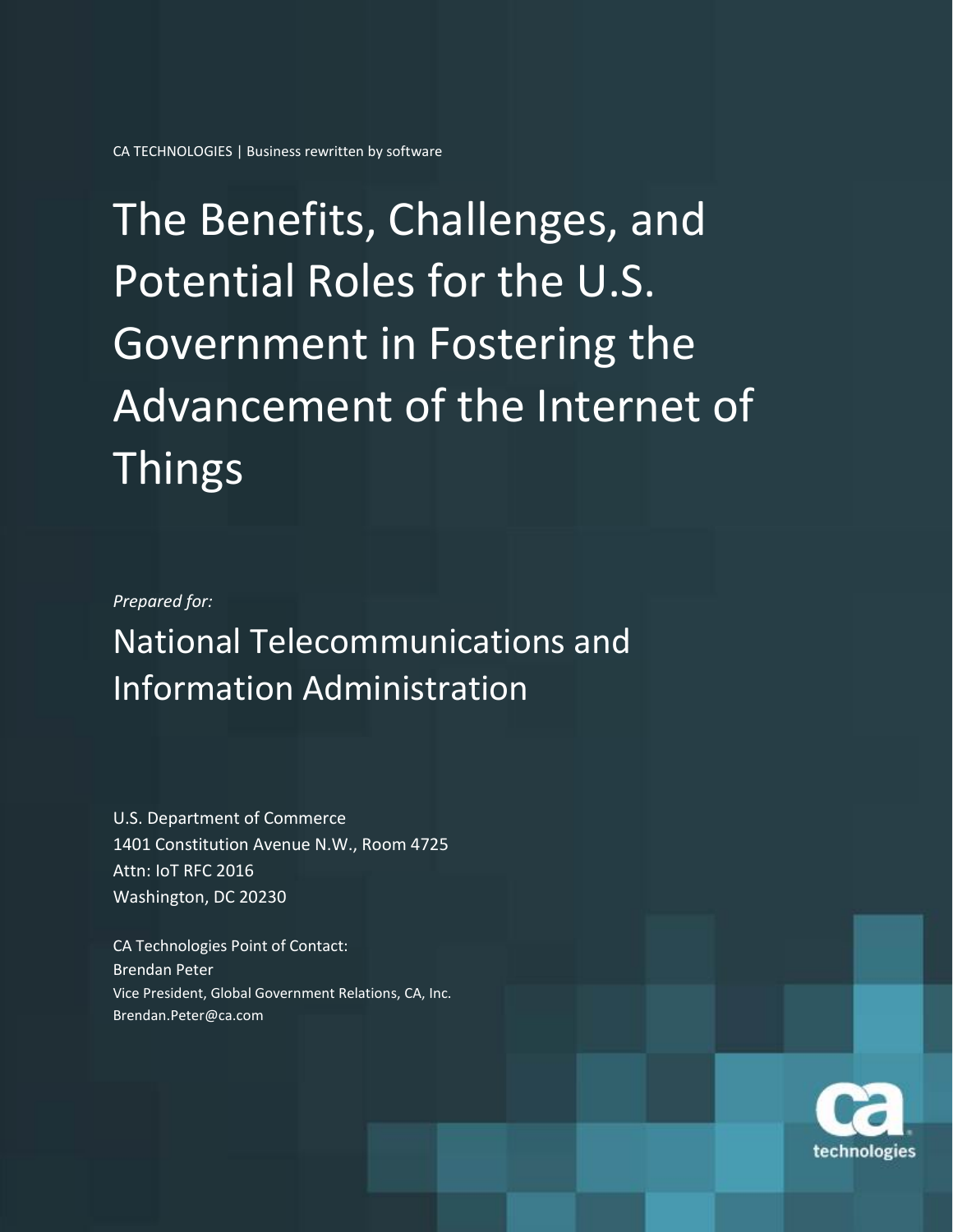# The Benefits, Challenges, and Potential Roles for the U.S. Government in Fostering the Advancement of the Internet of Things

#### *Prepared for:*

National Telecommunications and Information Administration

U.S. Department of Commerce 1401 Constitution Avenue N.W., Room 4725 Attn: IoT RFC 2016 Washington, DC 20230

CA Technologies Point of Contact: Brendan Peter Vice President, Global Government Relations, CA, Inc. Brendan.Peter@ca.com

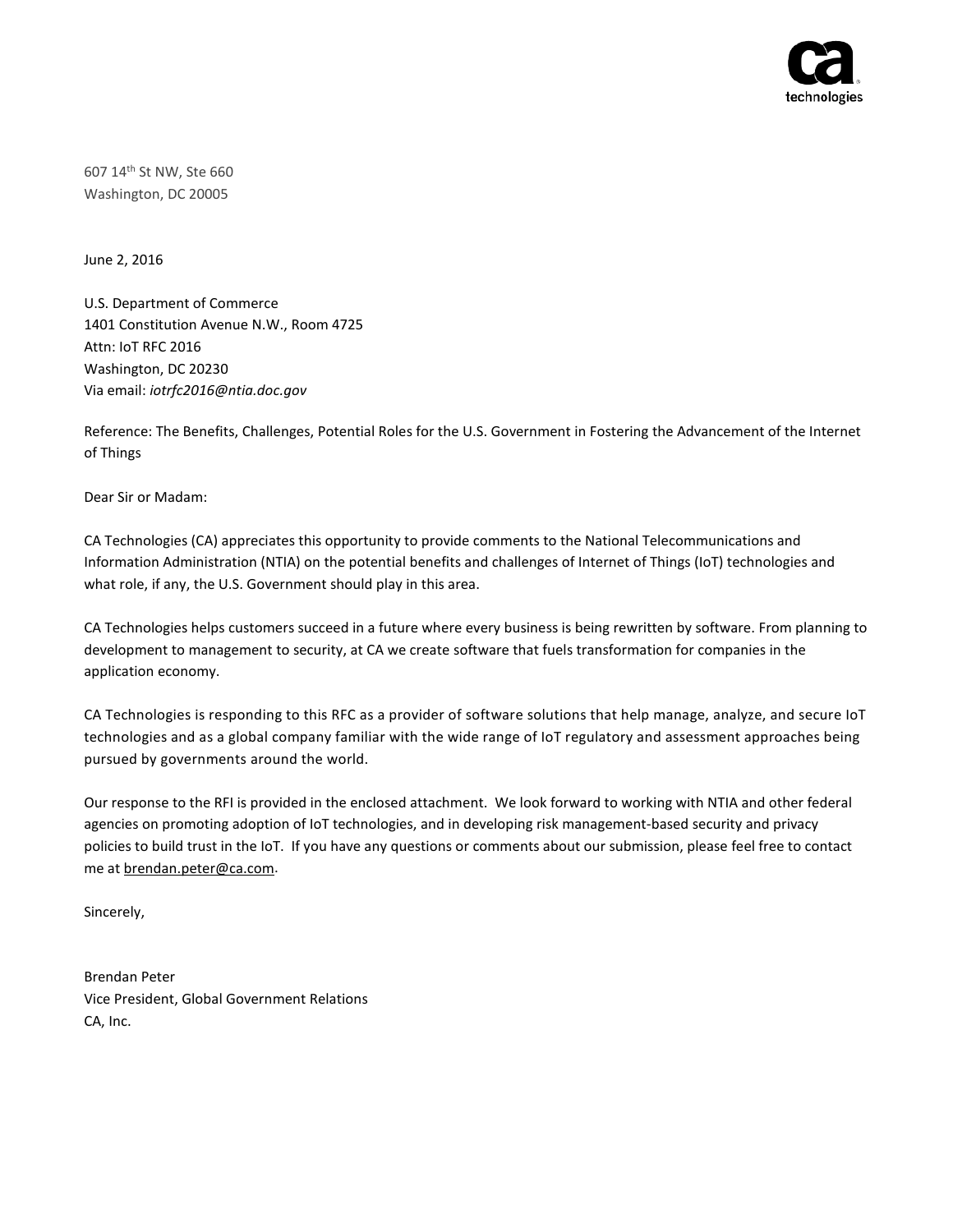

607 14th St NW, Ste 660 Washington, DC 20005

June 2, 2016

U.S. Department of Commerce 1401 Constitution Avenue N.W., Room 4725 Attn: IoT RFC 2016 Washington, DC 20230 Via email: *iotrfc2016@ntia.doc.gov*

Reference: The Benefits, Challenges, Potential Roles for the U.S. Government in Fostering the Advancement of the Internet of Things

Dear Sir or Madam:

CA Technologies (CA) appreciates this opportunity to provide comments to the National Telecommunications and Information Administration (NTIA) on the potential benefits and challenges of Internet of Things (IoT) technologies and what role, if any, the U.S. Government should play in this area.

CA Technologies helps customers succeed in a future where every business is being rewritten by software. From planning to development to management to security, at CA we create software that fuels transformation for companies in the application economy.

CA Technologies is responding to this RFC as a provider of software solutions that help manage, analyze, and secure IoT technologies and as a global company familiar with the wide range of IoT regulatory and assessment approaches being pursued by governments around the world.

Our response to the RFI is provided in the enclosed attachment. We look forward to working with NTIA and other federal agencies on promoting adoption of IoT technologies, and in developing risk management-based security and privacy policies to build trust in the IoT. If you have any questions or comments about our submission, please feel free to contact me a[t brendan.peter@ca.com.](mailto:brendan.peter@ca.com)

Sincerely,

Brendan Peter Vice President, Global Government Relations CA, Inc.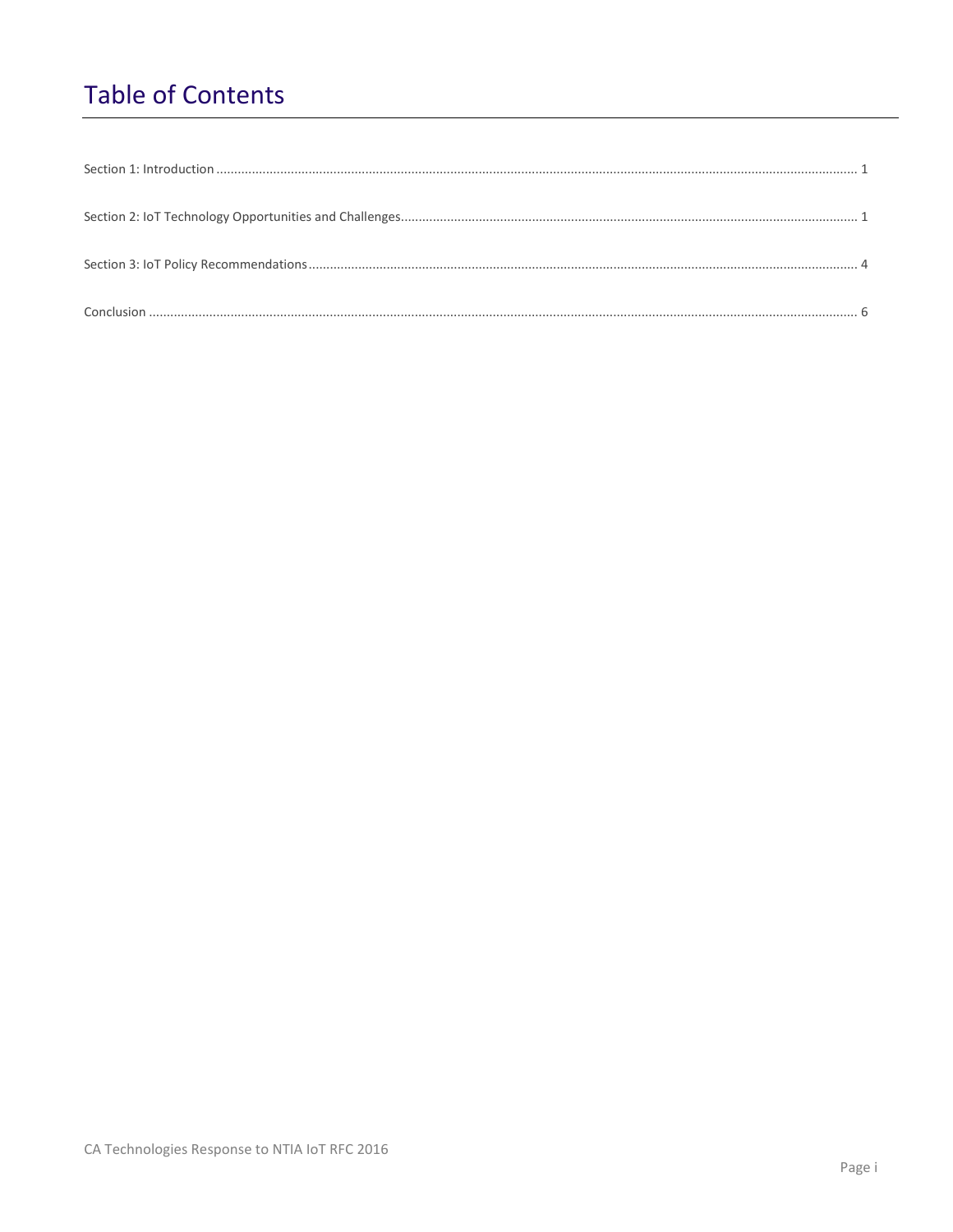## **Table of Contents**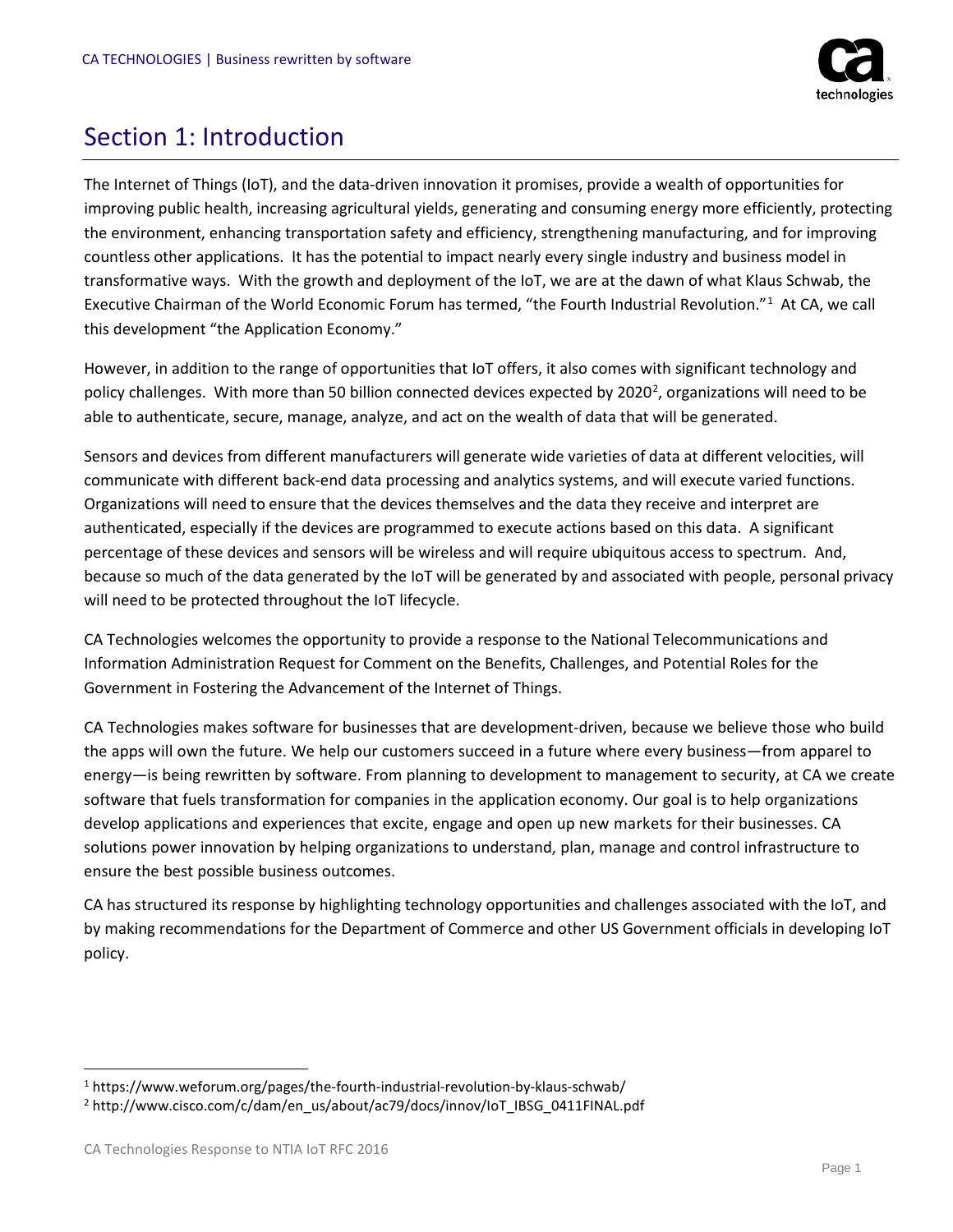

## <span id="page-3-0"></span>Section 1: Introduction

The Internet of Things (IoT), and the data-driven innovation it promises, provide a wealth of opportunities for improving public health, increasing agricultural yields, generating and consuming energy more efficiently, protecting the environment, enhancing transportation safety and efficiency, strengthening manufacturing, and for improving countless other applications. It has the potential to impact nearly every single industry and business model in transformative ways. With the growth and deployment of the IoT, we are at the dawn of what Klaus Schwab, the Executive Chairman of the World Economic Forum has termed, "the Fourth Industrial Revolution."<sup>[1](#page-3-1)</sup> At CA, we call this development "the Application Economy."

However, in addition to the range of opportunities that IoT offers, it also comes with significant technology and policy challenges. With more than 50 billion connected devices expected by [2](#page-3-2)020<sup>2</sup>, organizations will need to be able to authenticate, secure, manage, analyze, and act on the wealth of data that will be generated.

Sensors and devices from different manufacturers will generate wide varieties of data at different velocities, will communicate with different back-end data processing and analytics systems, and will execute varied functions. Organizations will need to ensure that the devices themselves and the data they receive and interpret are authenticated, especially if the devices are programmed to execute actions based on this data. A significant percentage of these devices and sensors will be wireless and will require ubiquitous access to spectrum. And, because so much of the data generated by the IoT will be generated by and associated with people, personal privacy will need to be protected throughout the IoT lifecycle.

CA Technologies welcomes the opportunity to provide a response to the National Telecommunications and Information Administration Request for Comment on the Benefits, Challenges, and Potential Roles for the Government in Fostering the Advancement of the Internet of Things.

CA Technologies makes software for businesses that are development-driven, because we believe those who build the apps will own the future. We help our customers succeed in a future where every business—from apparel to energy—is being rewritten by software. From planning to development to management to security, at CA we create software that fuels transformation for companies in the application economy. Our goal is to help organizations develop applications and experiences that excite, engage and open up new markets for their businesses. CA solutions power innovation by helping organizations to understand, plan, manage and control infrastructure to ensure the best possible business outcomes.

CA has structured its response by highlighting technology opportunities and challenges associated with the IoT, and by making recommendations for the Department of Commerce and other US Government officials in developing IoT policy.

<span id="page-3-1"></span> <sup>1</sup> https://www.weforum.org/pages/the-fourth-industrial-revolution-by-klaus-schwab/

<span id="page-3-2"></span><sup>&</sup>lt;sup>2</sup> http://www.cisco.com/c/dam/en\_us/about/ac79/docs/innov/IoT\_IBSG\_0411FINAL.pdf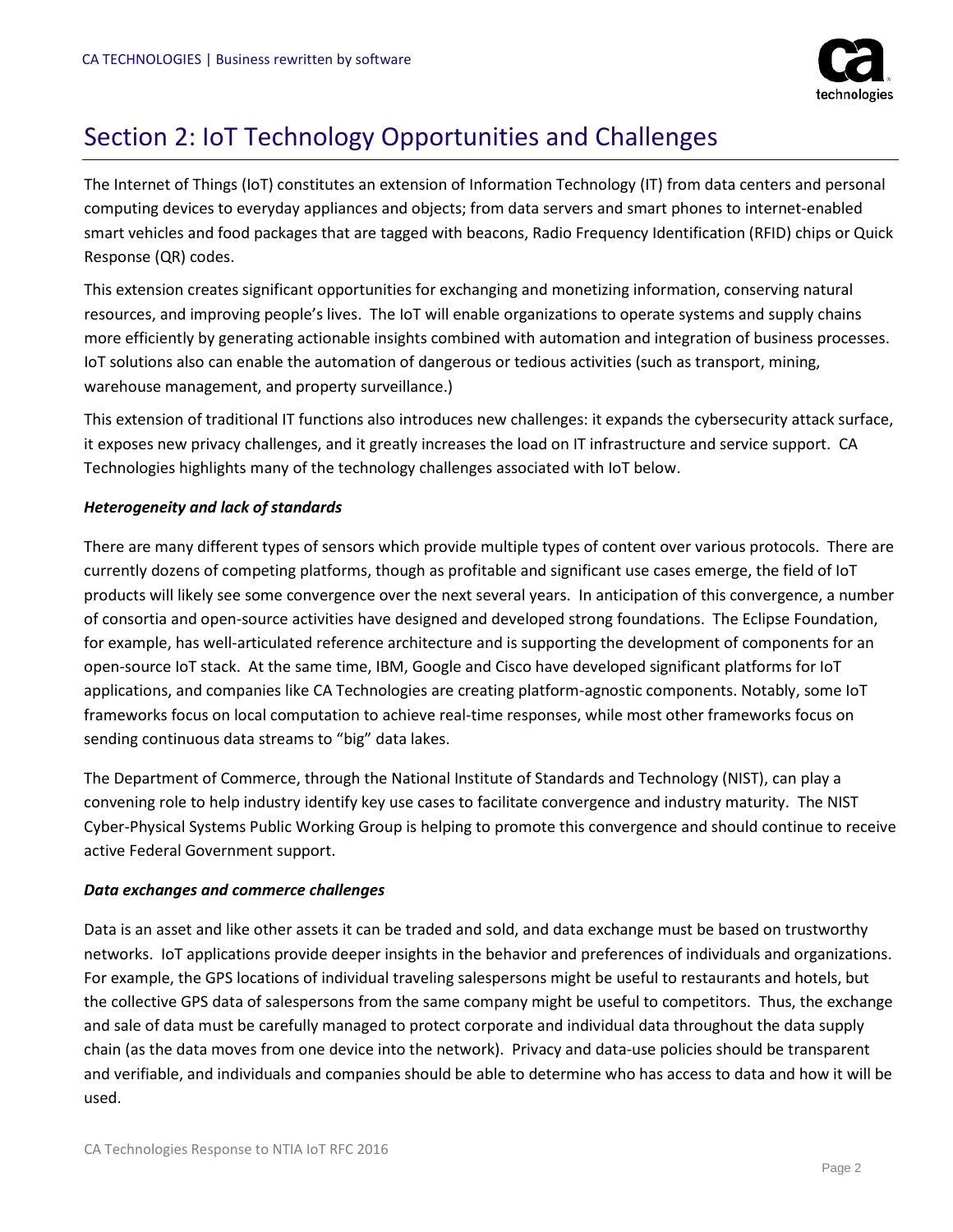

## <span id="page-4-0"></span>Section 2: IoT Technology Opportunities and Challenges

The Internet of Things (IoT) constitutes an extension of Information Technology (IT) from data centers and personal computing devices to everyday appliances and objects; from data servers and smart phones to internet-enabled smart vehicles and food packages that are tagged with beacons, Radio Frequency Identification (RFID) chips or Quick Response (QR) codes.

This extension creates significant opportunities for exchanging and monetizing information, conserving natural resources, and improving people's lives. The IoT will enable organizations to operate systems and supply chains more efficiently by generating actionable insights combined with automation and integration of business processes. IoT solutions also can enable the automation of dangerous or tedious activities (such as transport, mining, warehouse management, and property surveillance.)

This extension of traditional IT functions also introduces new challenges: it expands the cybersecurity attack surface, it exposes new privacy challenges, and it greatly increases the load on IT infrastructure and service support. CA Technologies highlights many of the technology challenges associated with IoT below.

#### *Heterogeneity and lack of standards*

There are many different types of sensors which provide multiple types of content over various protocols. There are currently dozens of competing platforms, though as profitable and significant use cases emerge, the field of IoT products will likely see some convergence over the next several years. In anticipation of this convergence, a number of consortia and open-source activities have designed and developed strong foundations. The Eclipse Foundation, for example, has well-articulated reference architecture and is supporting the development of components for an open-source IoT stack. At the same time, IBM, Google and Cisco have developed significant platforms for IoT applications, and companies like CA Technologies are creating platform-agnostic components. Notably, some IoT frameworks focus on local computation to achieve real-time responses, while most other frameworks focus on sending continuous data streams to "big" data lakes.

The Department of Commerce, through the National Institute of Standards and Technology (NIST), can play a convening role to help industry identify key use cases to facilitate convergence and industry maturity. The NIST Cyber-Physical Systems Public Working Group is helping to promote this convergence and should continue to receive active Federal Government support.

#### *Data exchanges and commerce challenges*

Data is an asset and like other assets it can be traded and sold, and data exchange must be based on trustworthy networks. IoT applications provide deeper insights in the behavior and preferences of individuals and organizations. For example, the GPS locations of individual traveling salespersons might be useful to restaurants and hotels, but the collective GPS data of salespersons from the same company might be useful to competitors. Thus, the exchange and sale of data must be carefully managed to protect corporate and individual data throughout the data supply chain (as the data moves from one device into the network). Privacy and data-use policies should be transparent and verifiable, and individuals and companies should be able to determine who has access to data and how it will be used.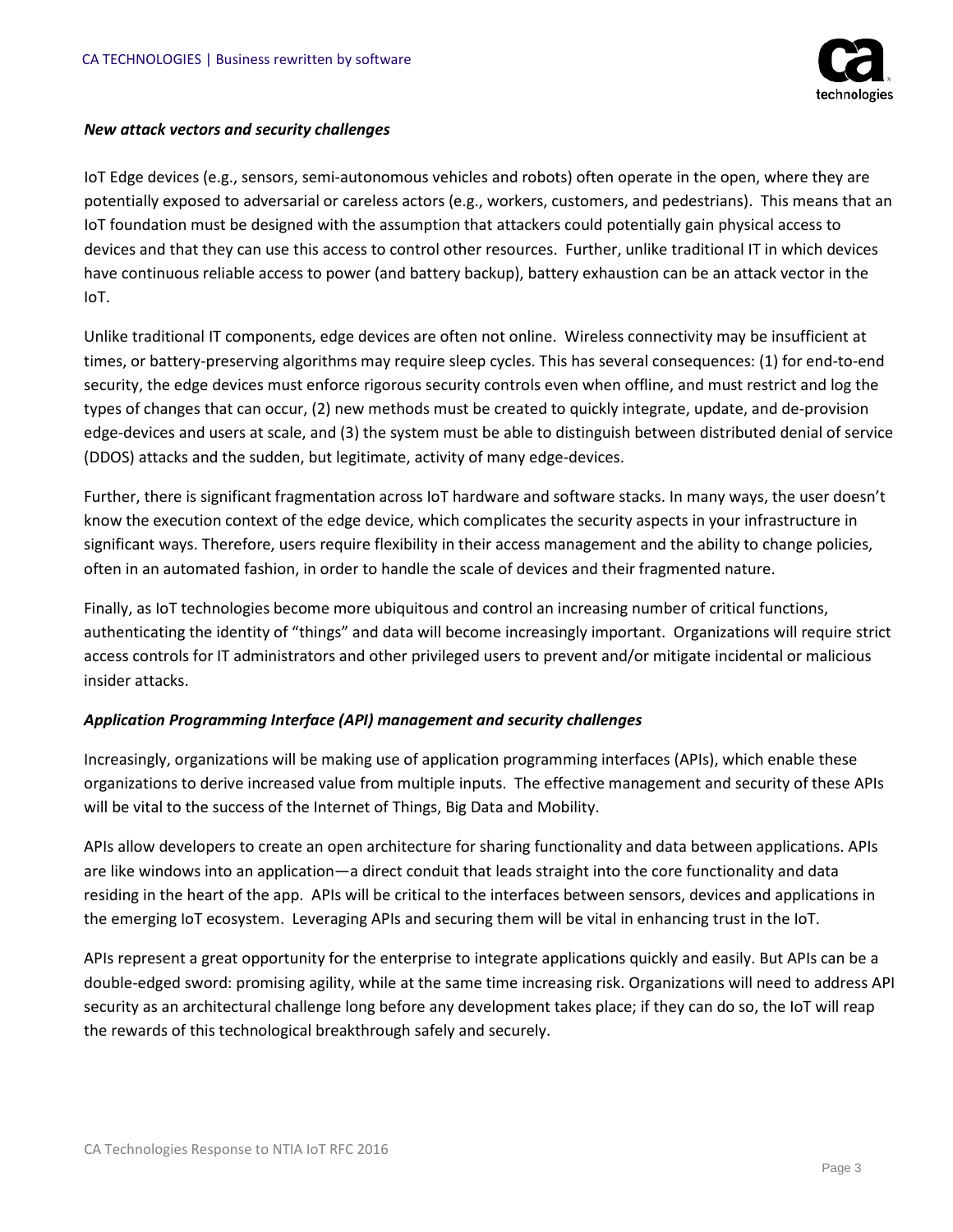

#### *New attack vectors and security challenges*

IoT Edge devices (e.g., sensors, semi-autonomous vehicles and robots) often operate in the open, where they are potentially exposed to adversarial or careless actors (e.g., workers, customers, and pedestrians). This means that an IoT foundation must be designed with the assumption that attackers could potentially gain physical access to devices and that they can use this access to control other resources. Further, unlike traditional IT in which devices have continuous reliable access to power (and battery backup), battery exhaustion can be an attack vector in the IoT.

Unlike traditional IT components, edge devices are often not online. Wireless connectivity may be insufficient at times, or battery-preserving algorithms may require sleep cycles. This has several consequences: (1) for end-to-end security, the edge devices must enforce rigorous security controls even when offline, and must restrict and log the types of changes that can occur, (2) new methods must be created to quickly integrate, update, and de-provision edge-devices and users at scale, and (3) the system must be able to distinguish between distributed denial of service (DDOS) attacks and the sudden, but legitimate, activity of many edge-devices.

Further, there is significant fragmentation across IoT hardware and software stacks. In many ways, the user doesn't know the execution context of the edge device, which complicates the security aspects in your infrastructure in significant ways. Therefore, users require flexibility in their access management and the ability to change policies, often in an automated fashion, in order to handle the scale of devices and their fragmented nature.

Finally, as IoT technologies become more ubiquitous and control an increasing number of critical functions, authenticating the identity of "things" and data will become increasingly important. Organizations will require strict access controls for IT administrators and other privileged users to prevent and/or mitigate incidental or malicious insider attacks.

#### *Application Programming Interface (API) management and security challenges*

Increasingly, organizations will be making use of application programming interfaces (APIs), which enable these organizations to derive increased value from multiple inputs. The effective management and security of these APIs will be vital to the success of the Internet of Things, Big Data and Mobility.

APIs allow developers to create an open architecture for sharing functionality and data between applications. APIs are like windows into an application—a direct conduit that leads straight into the core functionality and data residing in the heart of the app. APIs will be critical to the interfaces between sensors, devices and applications in the emerging IoT ecosystem. Leveraging APIs and securing them will be vital in enhancing trust in the IoT.

APIs represent a great opportunity for the enterprise to integrate applications quickly and easily. But APIs can be a double-edged sword: promising agility, while at the same time increasing risk. Organizations will need to address API security as an architectural challenge long before any development takes place; if they can do so, the IoT will reap the rewards of this technological breakthrough safely and securely.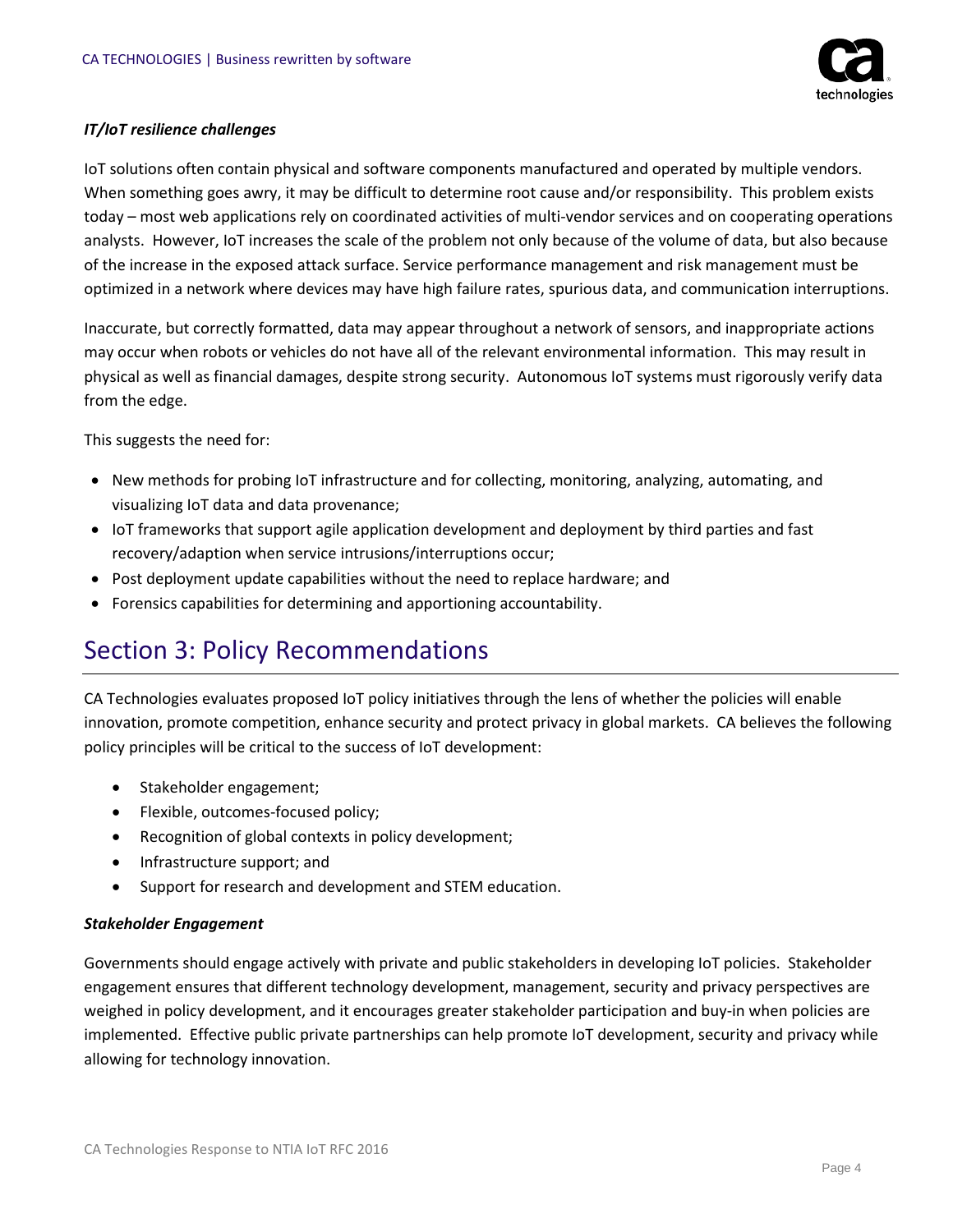

#### *IT/IoT resilience challenges*

IoT solutions often contain physical and software components manufactured and operated by multiple vendors. When something goes awry, it may be difficult to determine root cause and/or responsibility. This problem exists today – most web applications rely on coordinated activities of multi-vendor services and on cooperating operations analysts. However, IoT increases the scale of the problem not only because of the volume of data, but also because of the increase in the exposed attack surface. Service performance management and risk management must be optimized in a network where devices may have high failure rates, spurious data, and communication interruptions.

Inaccurate, but correctly formatted, data may appear throughout a network of sensors, and inappropriate actions may occur when robots or vehicles do not have all of the relevant environmental information. This may result in physical as well as financial damages, despite strong security. Autonomous IoT systems must rigorously verify data from the edge.

This suggests the need for:

- New methods for probing IoT infrastructure and for collecting, monitoring, analyzing, automating, and visualizing IoT data and data provenance;
- IoT frameworks that support agile application development and deployment by third parties and fast recovery/adaption when service intrusions/interruptions occur;
- Post deployment update capabilities without the need to replace hardware; and
- Forensics capabilities for determining and apportioning accountability.

## <span id="page-6-0"></span>Section 3: Policy Recommendations

CA Technologies evaluates proposed IoT policy initiatives through the lens of whether the policies will enable innovation, promote competition, enhance security and protect privacy in global markets. CA believes the following policy principles will be critical to the success of IoT development:

- Stakeholder engagement;
- Flexible, outcomes-focused policy;
- Recognition of global contexts in policy development;
- Infrastructure support; and
- Support for research and development and STEM education.

#### *Stakeholder Engagement*

Governments should engage actively with private and public stakeholders in developing IoT policies. Stakeholder engagement ensures that different technology development, management, security and privacy perspectives are weighed in policy development, and it encourages greater stakeholder participation and buy-in when policies are implemented. Effective public private partnerships can help promote IoT development, security and privacy while allowing for technology innovation.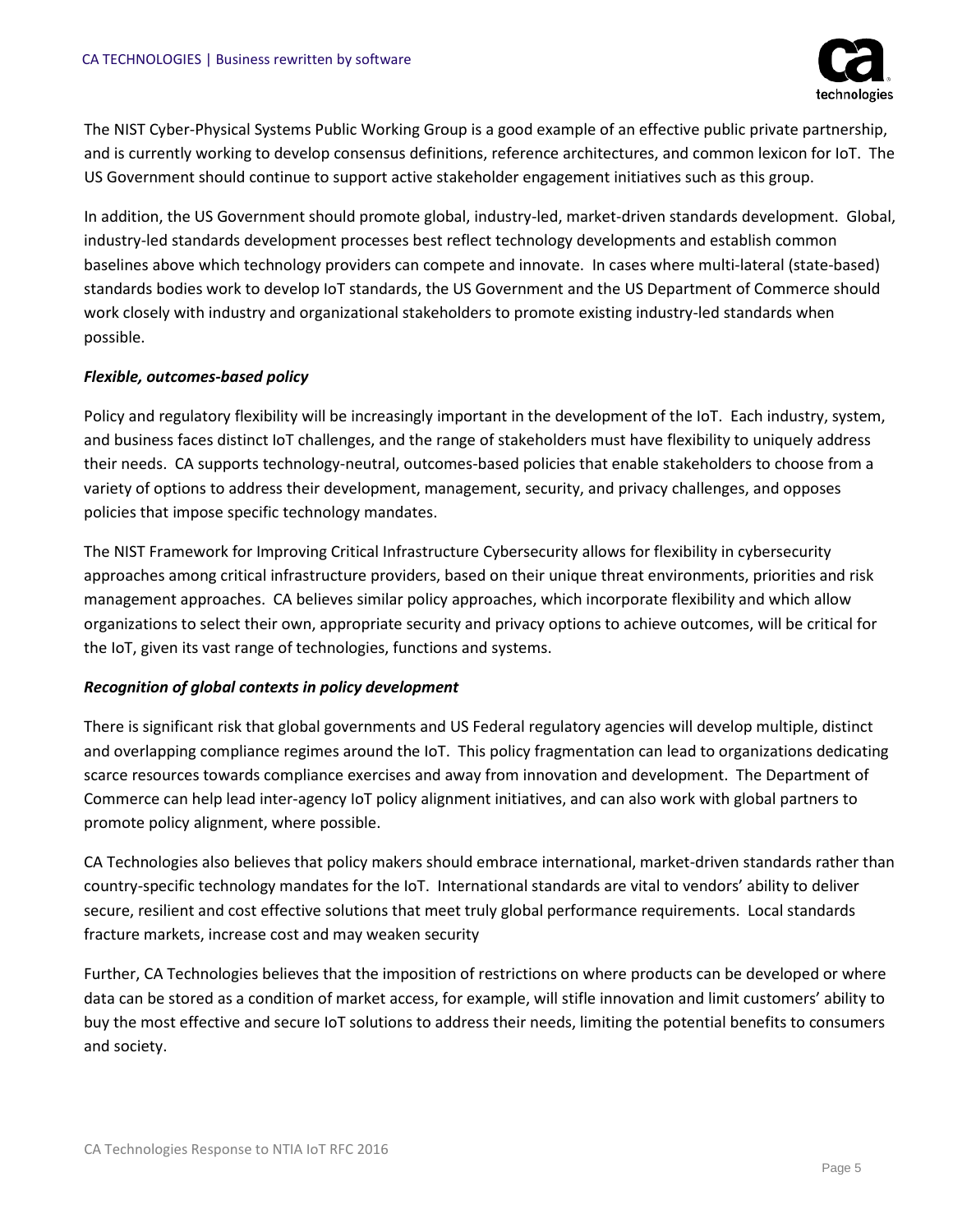

The NIST Cyber-Physical Systems Public Working Group is a good example of an effective public private partnership, and is currently working to develop consensus definitions, reference architectures, and common lexicon for IoT. The US Government should continue to support active stakeholder engagement initiatives such as this group.

In addition, the US Government should promote global, industry-led, market-driven standards development. Global, industry-led standards development processes best reflect technology developments and establish common baselines above which technology providers can compete and innovate. In cases where multi-lateral (state-based) standards bodies work to develop IoT standards, the US Government and the US Department of Commerce should work closely with industry and organizational stakeholders to promote existing industry-led standards when possible.

#### *Flexible, outcomes-based policy*

Policy and regulatory flexibility will be increasingly important in the development of the IoT. Each industry, system, and business faces distinct IoT challenges, and the range of stakeholders must have flexibility to uniquely address their needs. CA supports technology-neutral, outcomes-based policies that enable stakeholders to choose from a variety of options to address their development, management, security, and privacy challenges, and opposes policies that impose specific technology mandates.

The NIST Framework for Improving Critical Infrastructure Cybersecurity allows for flexibility in cybersecurity approaches among critical infrastructure providers, based on their unique threat environments, priorities and risk management approaches. CA believes similar policy approaches, which incorporate flexibility and which allow organizations to select their own, appropriate security and privacy options to achieve outcomes, will be critical for the IoT, given its vast range of technologies, functions and systems.

#### *Recognition of global contexts in policy development*

There is significant risk that global governments and US Federal regulatory agencies will develop multiple, distinct and overlapping compliance regimes around the IoT. This policy fragmentation can lead to organizations dedicating scarce resources towards compliance exercises and away from innovation and development. The Department of Commerce can help lead inter-agency IoT policy alignment initiatives, and can also work with global partners to promote policy alignment, where possible.

CA Technologies also believes that policy makers should embrace international, market-driven standards rather than country-specific technology mandates for the IoT. International standards are vital to vendors' ability to deliver secure, resilient and cost effective solutions that meet truly global performance requirements. Local standards fracture markets, increase cost and may weaken security

Further, CA Technologies believes that the imposition of restrictions on where products can be developed or where data can be stored as a condition of market access, for example, will stifle innovation and limit customers' ability to buy the most effective and secure IoT solutions to address their needs, limiting the potential benefits to consumers and society.